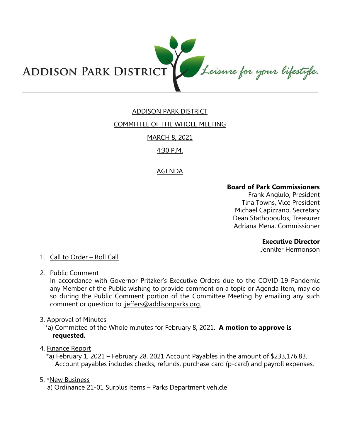

# ADDISON PARK DISTRICT

### COMMITTEE OF THE WHOLE MEETING

## MARCH 8, 2021

## 4:30 P.M.

### AGENDA

#### **Board of Park Commissioners**

Frank Angiulo, President Tina Towns, Vice President Michael Capizzano, Secretary Dean Stathopoulos, Treasurer Adriana Mena, Commissioner

#### **Executive Director**

Jennifer Hermonson

## 1. Call to Order – Roll Call

2. Public Comment

In accordance with Governor Pritzker's Executive Orders due to the COVID-19 Pandemic any Member of the Public wishing to provide comment on a topic or Agenda Item, may do so during the Public Comment portion of the Committee Meeting by emailing any such comment or question to ljeffers@addisonparks.org.

3. Approval of Minutes

\*a) Committee of the Whole minutes for February 8, 2021. **A motion to approve is requested.** 

#### 4. Finance Report

\*a) February 1, 2021 – February 28, 2021 Account Payables in the amount of \$233,176.83. Account payables includes checks, refunds, purchase card (p-card) and payroll expenses.

#### 5. \*New Business

a) Ordinance 21-01 Surplus Items – Parks Department vehicle